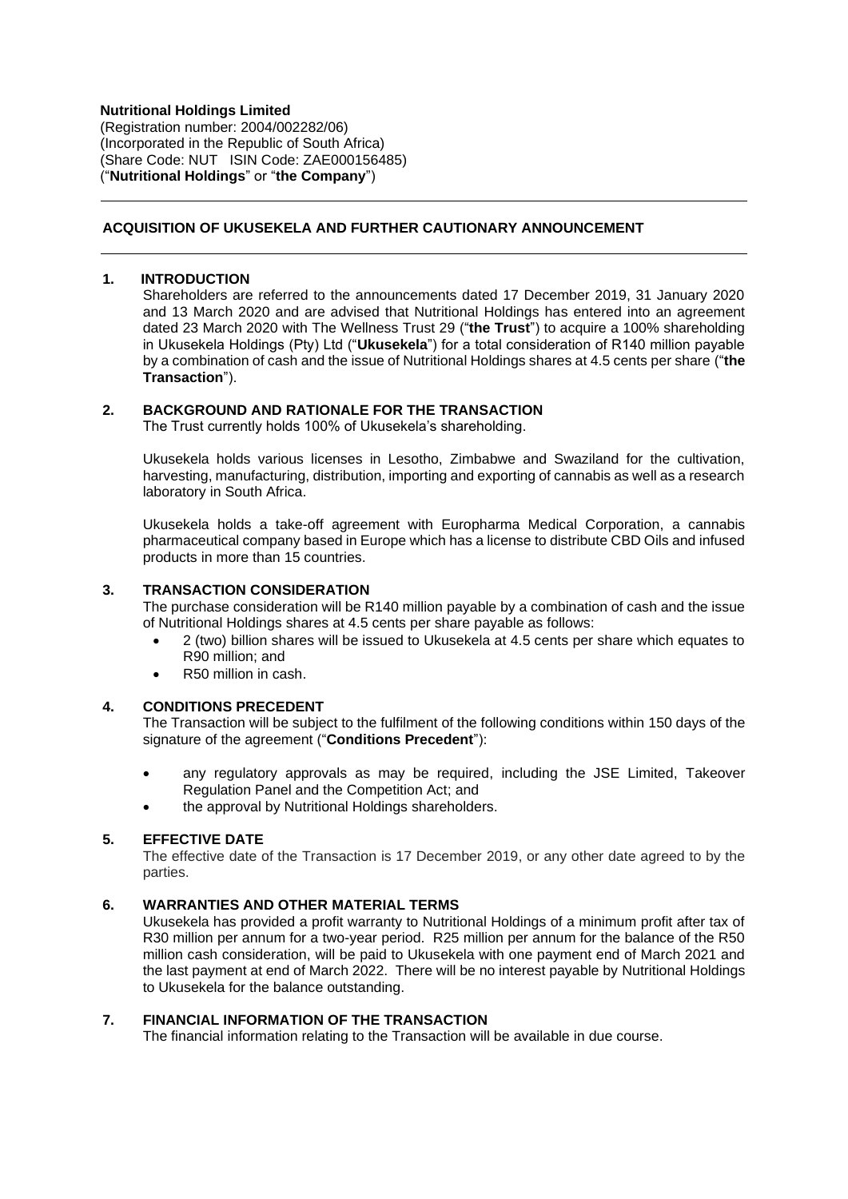**Nutritional Holdings Limited** (Registration number: 2004/002282/06) (Incorporated in the Republic of South Africa) (Share Code: NUT ISIN Code: ZAE000156485) ("**Nutritional Holdings**" or "**the Company**")

## **ACQUISITION OF UKUSEKELA AND FURTHER CAUTIONARY ANNOUNCEMENT**

## **1. INTRODUCTION**

Shareholders are referred to the announcements dated 17 December 2019, 31 January 2020 and 13 March 2020 and are advised that Nutritional Holdings has entered into an agreement dated 23 March 2020 with The Wellness Trust 29 ("**the Trust**") to acquire a 100% shareholding in Ukusekela Holdings (Pty) Ltd ("**Ukusekela**") for a total consideration of R140 million payable by a combination of cash and the issue of Nutritional Holdings shares at 4.5 cents per share ("**the Transaction**").

#### **2. BACKGROUND AND RATIONALE FOR THE TRANSACTION**

The Trust currently holds 100% of Ukusekela's shareholding.

Ukusekela holds various licenses in Lesotho, Zimbabwe and Swaziland for the cultivation, harvesting, manufacturing, distribution, importing and exporting of cannabis as well as a research laboratory in South Africa.

Ukusekela holds a take-off agreement with Europharma Medical Corporation, a cannabis pharmaceutical company based in Europe which has a license to distribute CBD Oils and infused products in more than 15 countries.

### **3. TRANSACTION CONSIDERATION**

The purchase consideration will be R140 million payable by a combination of cash and the issue of Nutritional Holdings shares at 4.5 cents per share payable as follows:

- 2 (two) billion shares will be issued to Ukusekela at 4.5 cents per share which equates to R90 million; and
- R50 million in cash.

#### **4. CONDITIONS PRECEDENT**

The Transaction will be subject to the fulfilment of the following conditions within 150 days of the signature of the agreement ("**Conditions Precedent**"):

- any regulatory approvals as may be required, including the JSE Limited, Takeover Regulation Panel and the Competition Act; and
- the approval by Nutritional Holdings shareholders.

#### **5. EFFECTIVE DATE**

The effective date of the Transaction is 17 December 2019, or any other date agreed to by the parties.

## **6. WARRANTIES AND OTHER MATERIAL TERMS**

Ukusekela has provided a profit warranty to Nutritional Holdings of a minimum profit after tax of R30 million per annum for a two-year period. R25 million per annum for the balance of the R50 million cash consideration, will be paid to Ukusekela with one payment end of March 2021 and the last payment at end of March 2022. There will be no interest payable by Nutritional Holdings to Ukusekela for the balance outstanding.

## **7. FINANCIAL INFORMATION OF THE TRANSACTION**

The financial information relating to the Transaction will be available in due course.